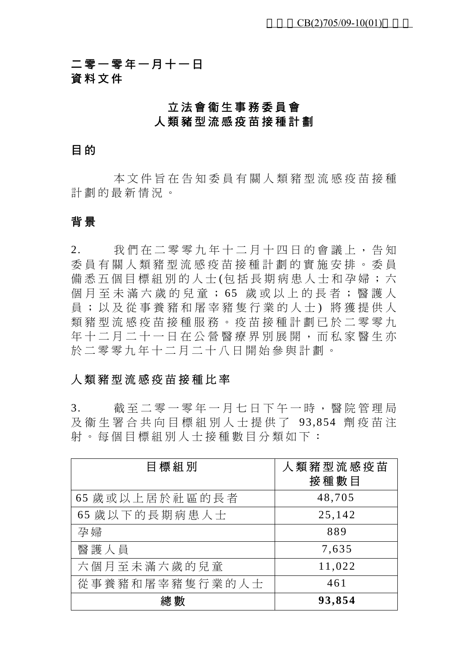二零一零年一月十一日 資料文件

### 立法會衞生事務委員會 人類豬型流感疫苗接種計劃

#### 目 的

本文件旨在告知委員有關人類豬型流感疫苗接種 計劃的最新情況。

### 背 景

2. 我們在二零零九年十二月十四日的會議上,告知 委員有關人類豬型流感疫苗 接種計劃的實施安排。委員 備悉五個目標組別的人士(包括長期病患人士和孕婦;六 個月至未滿六歲的兒童; 65 歲或以上的長者;醫護人 員;以及從事養豬和屠宰豬隻行業的人士 ) 將獲提供人 類豬型流感疫苗接種服務。疫苗接種計劃已於二零零九 年十二月二十一日在公營醫療界別展開,而私家醫生亦 於二零零九年十二月二十八日開始參與計劃。

### 人類豬型流感疫苗接種比率

3. 截至二零一零年一月七日下午一時,醫院管理局 及衞生署合共向目標組別人士提供了 93,854 劑疫苗注 射。每個目標組別人士接種數目分類如下:

| 目標組別           | 人類豬型流感疫苗<br>接種數目 |
|----------------|------------------|
| 65 歲或以上居於社區的長者 | 48,705           |
| 65 歲以下的長期病患人士  | 25,142           |
| 孕婦             | 889              |
| 醫護人員           | 7,635            |
| 六個月至未滿六歲的兒童    | 11,022           |
| 從事養豬和屠宰豬隻行業的人士 | 461              |
| 總數             | 93,854           |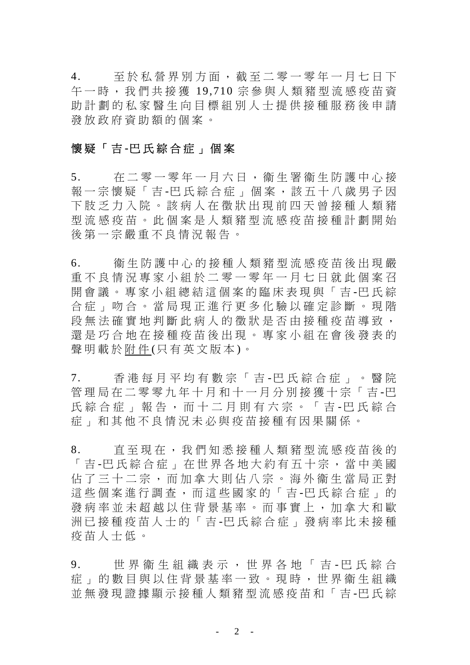4. 至於私營界別方面,截至二零一零年一月七日下 午一時,我們共接獲 19,710 宗參與人類豬型流感疫苗資 助計劃的私家醫生向目標組 別人士提供接種服務後申請 發放政府資助額的個案。

### 懷疑「吉 **-**巴氏綜合症」個案

5. 在二零一零年一月六日,衞生署衞生防護中心接 報一宗懷疑「吉 -巴氏綜合症」個案,該五十八歲男子因 下肢乏力入院。該病人在徵 狀出現前四天曾接種人類豬 型流感疫苗。此個案是人類 豬型流感疫苗接種計劃開始 後第一宗嚴重不良情況報告。

6. 衞生防護中心的接種人類豬型流感疫苗後出現嚴 重不良情況專家小組於二零一零年一月七日就此個案召 開會議。專家小組總結這個案的臨床表現與「吉 -巴氏綜 合症」吻合。當局現正進行 更多化驗以確定診斷。現階 段無法確實地判斷此病人的徵狀是否由接種疫苗導致, 還是巧合地在接種疫苗後出現。專家小組在會後發表的 聲明載於附件(只有英文版本)。

7. 香港每月平均有數宗「吉 -巴氏綜合症」。醫院 管理局在二零零九年十月和十一月分別接獲十宗「吉 -巴 氏綜合症」報告,而十二月則有六宗。「吉 -巴氏綜合 症」和其他不良情況未 必與疫苗接種有因果關係。

8. 直至現在,我們知悉接種人類豬型流感疫苗後的 「 吉 -巴氏綜合症」在世界各地大約有五十宗,當中美國 佔了三十二宗,而加拿大則 佔八宗。海外衞生當局正對 這些個案進行調查,而這些國家的「吉 -巴氏綜合症」的 發病率並未超越以住背景基率。而事實上,加拿大和歐 洲已接種疫苗人士的「吉 -巴氏綜合症」發病率比未接種 疫苗人士低。

9. 世界衞生組織表示,世界各地「吉 - 巴氏綜合 症」的數目與以住背景基率一致。現時,世界衞生組織 並無發現證據顯示接種人類豬型流感疫苗和「吉 -巴氏綜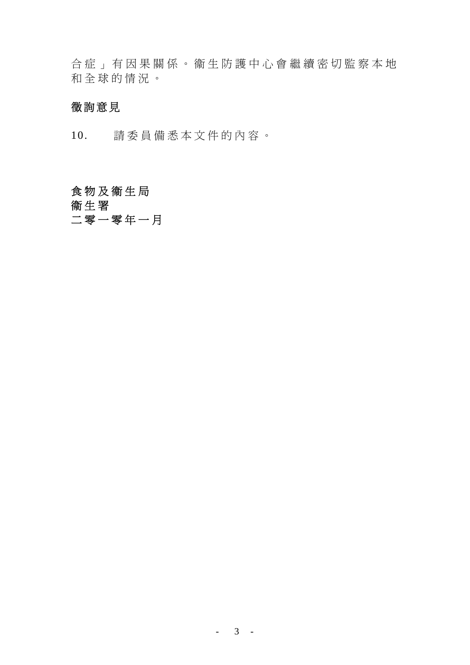合症」有因果關係。衞生防 護中心會繼續密切監察本地 和全球的情況。

### 徵詢意見

10. 請委員備悉本文件的內容。

# 食物及衞生局

衞生署

## 二零一零年一月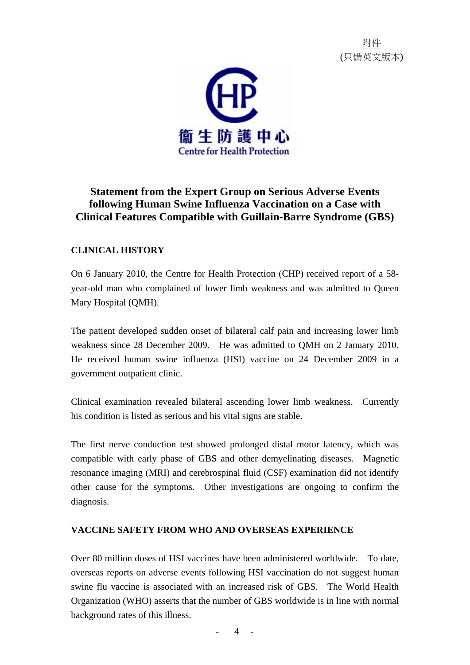附件 (只備英文版本)



### **Statement from the Expert Group on Serious Adverse Events following Human Swine Influenza Vaccination on a Case with Clinical Features Compatible with Guillain-Barre Syndrome (GBS)**

### **CLINICAL HISTORY**

On 6 January 2010, the Centre for Health Protection (CHP) received report of a 58 year-old man who complained of lower limb weakness and was admitted to Queen Mary Hospital (QMH).

The patient developed sudden onset of bilateral calf pain and increasing lower limb weakness since 28 December 2009. He was admitted to QMH on 2 January 2010. He received human swine influenza (HSI) vaccine on 24 December 2009 in a government outpatient clinic.

Clinical examination revealed bilateral ascending lower limb weakness. Currently his condition is listed as serious and his vital signs are stable.

The first nerve conduction test showed prolonged distal motor latency, which was compatible with early phase of GBS and other demyelinating diseases. Magnetic resonance imaging (MRI) and cerebrospinal fluid (CSF) examination did not identify other cause for the symptoms. Other investigations are ongoing to confirm the diagnosis.

#### **VACCINE SAFETY FROM WHO AND OVERSEAS EXPERIENCE**

Over 80 million doses of HSI vaccines have been administered worldwide. To date, overseas reports on adverse events following HSI vaccination do not suggest human swine flu vaccine is associated with an increased risk of GBS. The World Health Organization (WHO) asserts that the number of GBS worldwide is in line with normal background rates of this illness.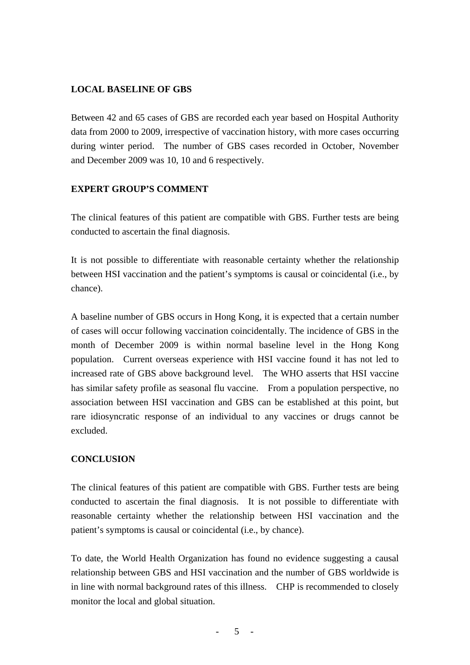#### **LOCAL BASELINE OF GBS**

Between 42 and 65 cases of GBS are recorded each year based on Hospital Authority data from 2000 to 2009, irrespective of vaccination history, with more cases occurring during winter period. The number of GBS cases recorded in October, November and December 2009 was 10, 10 and 6 respectively.

#### **EXPERT GROUP'S COMMENT**

The clinical features of this patient are compatible with GBS. Further tests are being conducted to ascertain the final diagnosis.

It is not possible to differentiate with reasonable certainty whether the relationship between HSI vaccination and the patient's symptoms is causal or coincidental (i.e., by chance).

A baseline number of GBS occurs in Hong Kong, it is expected that a certain number of cases will occur following vaccination coincidentally. The incidence of GBS in the month of December 2009 is within normal baseline level in the Hong Kong population. Current overseas experience with HSI vaccine found it has not led to increased rate of GBS above background level. The WHO asserts that HSI vaccine has similar safety profile as seasonal flu vaccine. From a population perspective, no association between HSI vaccination and GBS can be established at this point, but rare idiosyncratic response of an individual to any vaccines or drugs cannot be excluded.

#### **CONCLUSION**

The clinical features of this patient are compatible with GBS. Further tests are being conducted to ascertain the final diagnosis. It is not possible to differentiate with reasonable certainty whether the relationship between HSI vaccination and the patient's symptoms is causal or coincidental (i.e., by chance).

To date, the World Health Organization has found no evidence suggesting a causal relationship between GBS and HSI vaccination and the number of GBS worldwide is in line with normal background rates of this illness. CHP is recommended to closely monitor the local and global situation.